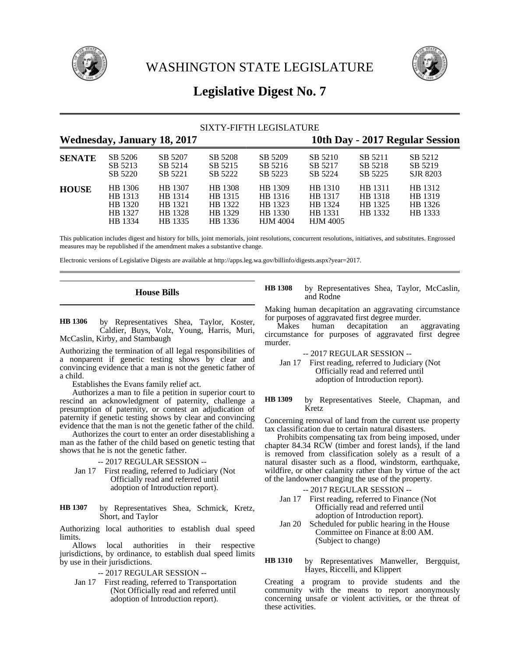



# **Legislative Digest No. 7**

| SIXTY-FIFTH LEGISLATURE            |                                                     |                                                     |                                                     |                                                             |                                                             |                                          |                                          |  |
|------------------------------------|-----------------------------------------------------|-----------------------------------------------------|-----------------------------------------------------|-------------------------------------------------------------|-------------------------------------------------------------|------------------------------------------|------------------------------------------|--|
| <b>Wednesday, January 18, 2017</b> |                                                     |                                                     |                                                     |                                                             | 10th Day - 2017 Regular Session                             |                                          |                                          |  |
| <b>SENATE</b>                      | SB 5206<br>SB 5213<br>SB 5220                       | SB 5207<br>SB 5214<br>SB 5221                       | SB 5208<br>SB 5215<br>SB 5222                       | SB 5209<br>SB 5216<br>SB 5223                               | SB 5210<br>SB 5217<br>SB 5224                               | SB 5211<br>SB 5218<br>SB 5225            | SB 5212<br>SB 5219<br>SJR 8203           |  |
| <b>HOUSE</b>                       | HB 1306<br>HB 1313<br>HB 1320<br>HB 1327<br>HB 1334 | HB 1307<br>HB 1314<br>HB 1321<br>HB 1328<br>HB 1335 | HB 1308<br>HB 1315<br>HB 1322<br>HB 1329<br>HB 1336 | HB 1309<br>HB 1316<br>HB 1323<br>HB 1330<br><b>HJM 4004</b> | HB 1310<br>HB 1317<br>HB 1324<br>HB 1331<br><b>HJM 4005</b> | HB 1311<br>HB 1318<br>HB 1325<br>HB 1332 | HB 1312<br>HB 1319<br>HB 1326<br>HB 1333 |  |

This publication includes digest and history for bills, joint memorials, joint resolutions, concurrent resolutions, initiatives, and substitutes. Engrossed measures may be republished if the amendment makes a substantive change.

Electronic versions of Legislative Digests are available at http://apps.leg.wa.gov/billinfo/digests.aspx?year=2017.

## **House Bills**

by Representatives Shea, Taylor, Koster, Caldier, Buys, Volz, Young, Harris, Muri, McCaslin, Kirby, and Stambaugh **HB 1306**

Authorizing the termination of all legal responsibilities of a nonparent if genetic testing shows by clear and convincing evidence that a man is not the genetic father of a child.

Establishes the Evans family relief act.

Authorizes a man to file a petition in superior court to rescind an acknowledgment of paternity, challenge a presumption of paternity, or contest an adjudication of paternity if genetic testing shows by clear and convincing evidence that the man is not the genetic father of the child.

Authorizes the court to enter an order disestablishing a man as the father of the child based on genetic testing that shows that he is not the genetic father.

- -- 2017 REGULAR SESSION --
- Jan 17 First reading, referred to Judiciary (Not Officially read and referred until adoption of Introduction report).
- by Representatives Shea, Schmick, Kretz, Short, and Taylor **HB 1307**

Authorizing local authorities to establish dual speed **limits** 

Allows local authorities in their respective jurisdictions, by ordinance, to establish dual speed limits by use in their jurisdictions.

-- 2017 REGULAR SESSION --

Jan 17 First reading, referred to Transportation (Not Officially read and referred until adoption of Introduction report).

by Representatives Shea, Taylor, McCaslin, and Rodne **HB 1308**

Making human decapitation an aggravating circumstance for purposes of aggravated first degree murder.

Makes human decapitation an aggravating circumstance for purposes of aggravated first degree murder.

-- 2017 REGULAR SESSION --

Jan 17 First reading, referred to Judiciary (Not Officially read and referred until adoption of Introduction report).

by Representatives Steele, Chapman, and Kretz **HB 1309**

Concerning removal of land from the current use property tax classification due to certain natural disasters.

Prohibits compensating tax from being imposed, under chapter 84.34 RCW (timber and forest lands), if the land is removed from classification solely as a result of a natural disaster such as a flood, windstorm, earthquake, wildfire, or other calamity rather than by virtue of the act of the landowner changing the use of the property.

-- 2017 REGULAR SESSION --

- Jan 17 First reading, referred to Finance (Not Officially read and referred until adoption of Introduction report).
- Jan 20 Scheduled for public hearing in the House Committee on Finance at 8:00 AM. (Subject to change)

by Representatives Manweller, Bergquist, Hayes, Riccelli, and Klippert **HB 1310**

Creating a program to provide students and the community with the means to report anonymously concerning unsafe or violent activities, or the threat of these activities.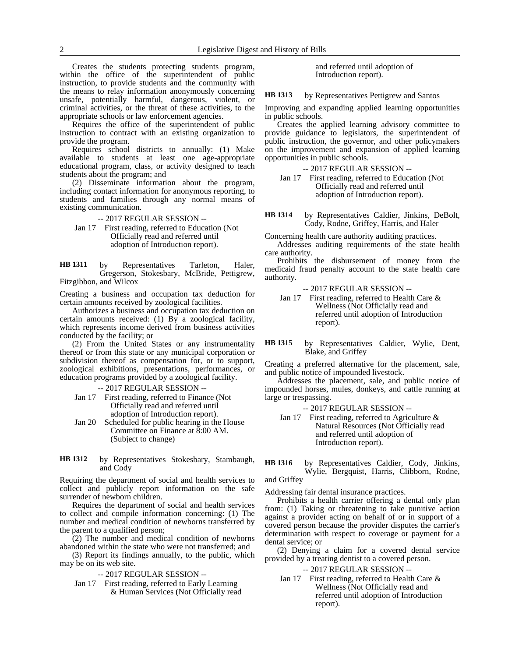Requires the office of the superintendent of public instruction to contract with an existing organization to provide the program.

Requires school districts to annually: (1) Make available to students at least one age-appropriate educational program, class, or activity designed to teach students about the program; and

(2) Disseminate information about the program, including contact information for anonymous reporting, to students and families through any normal means of existing communication.

-- 2017 REGULAR SESSION --

Jan 17 First reading, referred to Education (Not Officially read and referred until adoption of Introduction report).

by Representatives Tarleton, Haler, Gregerson, Stokesbary, McBride, Pettigrew, Fitzgibbon, and Wilcox **HB 1311**

Creating a business and occupation tax deduction for certain amounts received by zoological facilities.

Authorizes a business and occupation tax deduction on certain amounts received: (1) By a zoological facility, which represents income derived from business activities conducted by the facility; or

(2) From the United States or any instrumentality thereof or from this state or any municipal corporation or subdivision thereof as compensation for, or to support, zoological exhibitions, presentations, performances, or education programs provided by a zoological facility.

-- 2017 REGULAR SESSION --

- Jan 17 First reading, referred to Finance (Not Officially read and referred until adoption of Introduction report).
- Jan 20 Scheduled for public hearing in the House Committee on Finance at 8:00 AM. (Subject to change)
- by Representatives Stokesbary, Stambaugh, and Cody **HB 1312**

Requiring the department of social and health services to collect and publicly report information on the safe surrender of newborn children.

Requires the department of social and health services to collect and compile information concerning: (1) The number and medical condition of newborns transferred by the parent to a qualified person;

(2) The number and medical condition of newborns abandoned within the state who were not transferred; and

(3) Report its findings annually, to the public, which may be on its web site.

-- 2017 REGULAR SESSION --

Jan 17 First reading, referred to Early Learning & Human Services (Not Officially read and referred until adoption of Introduction report).

by Representatives Pettigrew and Santos **HB 1313**

Improving and expanding applied learning opportunities in public schools.

Creates the applied learning advisory committee to provide guidance to legislators, the superintendent of public instruction, the governor, and other policymakers on the improvement and expansion of applied learning opportunities in public schools.

-- 2017 REGULAR SESSION --

Jan 17 First reading, referred to Education (Not Officially read and referred until adoption of Introduction report).

by Representatives Caldier, Jinkins, DeBolt, Cody, Rodne, Griffey, Harris, and Haler **HB 1314**

Concerning health care authority auditing practices.

Addresses auditing requirements of the state health care authority.

Prohibits the disbursement of money from the medicaid fraud penalty account to the state health care authority.

-- 2017 REGULAR SESSION --

Jan 17 First reading, referred to Health Care & Wellness (Not Officially read and referred until adoption of Introduction report).

by Representatives Caldier, Wylie, Dent, Blake, and Griffey **HB 1315**

Creating a preferred alternative for the placement, sale, and public notice of impounded livestock.

Addresses the placement, sale, and public notice of impounded horses, mules, donkeys, and cattle running at large or trespassing.

-- 2017 REGULAR SESSION --

Jan 17 First reading, referred to Agriculture & Natural Resources (Not Officially read and referred until adoption of Introduction report).

by Representatives Caldier, Cody, Jinkins, Wylie, Bergquist, Harris, Clibborn, Rodne, **HB 1316**

and Griffey

Addressing fair dental insurance practices.

Prohibits a health carrier offering a dental only plan from: (1) Taking or threatening to take punitive action against a provider acting on behalf of or in support of a covered person because the provider disputes the carrier's determination with respect to coverage or payment for a dental service; or

(2) Denying a claim for a covered dental service provided by a treating dentist to a covered person.

-- 2017 REGULAR SESSION --

Jan 17 First reading, referred to Health Care & Wellness (Not Officially read and referred until adoption of Introduction report).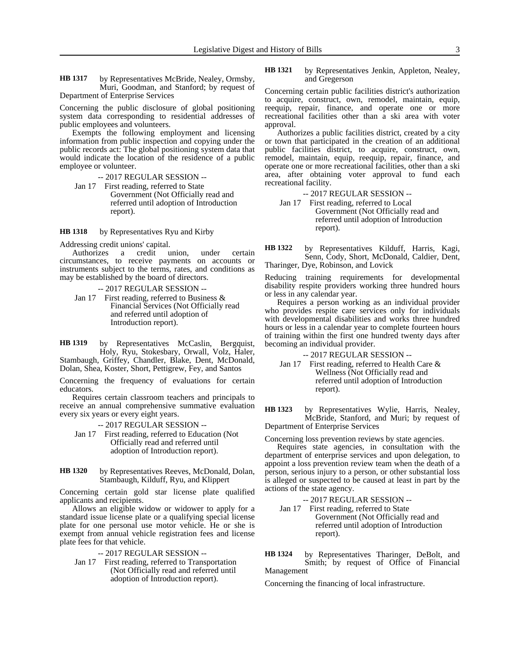by Representatives McBride, Nealey, Ormsby, Muri, Goodman, and Stanford; by request of Department of Enterprise Services **HB 1317**

Concerning the public disclosure of global positioning system data corresponding to residential addresses of public employees and volunteers.

Exempts the following employment and licensing information from public inspection and copying under the public records act: The global positioning system data that would indicate the location of the residence of a public employee or volunteer.

-- 2017 REGULAR SESSION --

Jan 17 First reading, referred to State Government (Not Officially read and referred until adoption of Introduction report).

by Representatives Ryu and Kirby **HB 1318**

Addressing credit unions' capital.<br>Authorizes a credit u

a credit union, under certain circumstances, to receive payments on accounts or instruments subject to the terms, rates, and conditions as may be established by the board of directors.

```
-- 2017 REGULAR SESSION --
```
Jan 17 First reading, referred to Business & Financial Services (Not Officially read and referred until adoption of Introduction report).

by Representatives McCaslin, Bergquist, Holy, Ryu, Stokesbary, Orwall, Volz, Haler, Stambaugh, Griffey, Chandler, Blake, Dent, McDonald, Dolan, Shea, Koster, Short, Pettigrew, Fey, and Santos **HB 1319**

Concerning the frequency of evaluations for certain educators.

Requires certain classroom teachers and principals to receive an annual comprehensive summative evaluation every six years or every eight years.

-- 2017 REGULAR SESSION --

- Jan 17 First reading, referred to Education (Not Officially read and referred until adoption of Introduction report).
- by Representatives Reeves, McDonald, Dolan, Stambaugh, Kilduff, Ryu, and Klippert **HB 1320**

Concerning certain gold star license plate qualified applicants and recipients.

Allows an eligible widow or widower to apply for a standard issue license plate or a qualifying special license plate for one personal use motor vehicle. He or she is exempt from annual vehicle registration fees and license plate fees for that vehicle.

### -- 2017 REGULAR SESSION --

Jan 17 First reading, referred to Transportation (Not Officially read and referred until adoption of Introduction report).

by Representatives Jenkin, Appleton, Nealey, and Gregerson **HB 1321**

Concerning certain public facilities district's authorization to acquire, construct, own, remodel, maintain, equip, reequip, repair, finance, and operate one or more recreational facilities other than a ski area with voter approval.

Authorizes a public facilities district, created by a city or town that participated in the creation of an additional public facilities district, to acquire, construct, own, remodel, maintain, equip, reequip, repair, finance, and operate one or more recreational facilities, other than a ski area, after obtaining voter approval to fund each recreational facility.

-- 2017 REGULAR SESSION --

Jan 17 First reading, referred to Local Government (Not Officially read and referred until adoption of Introduction report).

by Representatives Kilduff, Harris, Kagi, Senn, Cody, Short, McDonald, Caldier, Dent, Tharinger, Dye, Robinson, and Lovick **HB 1322**

Reducing training requirements for developmental disability respite providers working three hundred hours or less in any calendar year.

Requires a person working as an individual provider who provides respite care services only for individuals with developmental disabilities and works three hundred hours or less in a calendar year to complete fourteen hours of training within the first one hundred twenty days after becoming an individual provider.

-- 2017 REGULAR SESSION --

Jan 17 First reading, referred to Health Care & Wellness (Not Officially read and referred until adoption of Introduction report).

by Representatives Wylie, Harris, Nealey, McBride, Stanford, and Muri; by request of Department of Enterprise Services **HB 1323**

Concerning loss prevention reviews by state agencies.

Requires state agencies, in consultation with the department of enterprise services and upon delegation, to appoint a loss prevention review team when the death of a person, serious injury to a person, or other substantial loss is alleged or suspected to be caused at least in part by the actions of the state agency.

-- 2017 REGULAR SESSION --

Jan 17 First reading, referred to State Government (Not Officially read and referred until adoption of Introduction report).

by Representatives Tharinger, DeBolt, and Smith; by request of Office of Financial Management **HB 1324**

Concerning the financing of local infrastructure.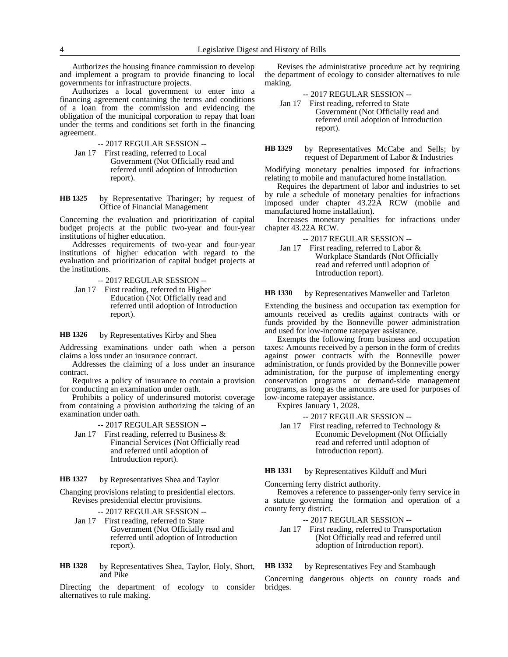Authorizes the housing finance commission to develop and implement a program to provide financing to local governments for infrastructure projects.

Authorizes a local government to enter into a financing agreement containing the terms and conditions of a loan from the commission and evidencing the obligation of the municipal corporation to repay that loan under the terms and conditions set forth in the financing agreement.

- -- 2017 REGULAR SESSION --
- Jan 17 First reading, referred to Local Government (Not Officially read and referred until adoption of Introduction report).

by Representative Tharinger; by request of Office of Financial Management **HB 1325**

Concerning the evaluation and prioritization of capital budget projects at the public two-year and four-year institutions of higher education.

Addresses requirements of two-year and four-year institutions of higher education with regard to the evaluation and prioritization of capital budget projects at the institutions.

-- 2017 REGULAR SESSION --

Jan 17 First reading, referred to Higher Education (Not Officially read and referred until adoption of Introduction report).

by Representatives Kirby and Shea **HB 1326**

Addressing examinations under oath when a person claims a loss under an insurance contract.

Addresses the claiming of a loss under an insurance contract.

Requires a policy of insurance to contain a provision for conducting an examination under oath.

Prohibits a policy of underinsured motorist coverage from containing a provision authorizing the taking of an examination under oath.

-- 2017 REGULAR SESSION --

Jan 17 First reading, referred to Business & Financial Services (Not Officially read and referred until adoption of Introduction report).

by Representatives Shea and Taylor **HB 1327**

Changing provisions relating to presidential electors. Revises presidential elector provisions.

- -- 2017 REGULAR SESSION --
- Jan 17 First reading, referred to State Government (Not Officially read and referred until adoption of Introduction report).
- by Representatives Shea, Taylor, Holy, Short, and Pike **HB 1328**

Directing the department of ecology to consider alternatives to rule making.

Revises the administrative procedure act by requiring the department of ecology to consider alternatives to rule making.

- -- 2017 REGULAR SESSION --
- Jan 17 First reading, referred to State Government (Not Officially read and referred until adoption of Introduction report).
- by Representatives McCabe and Sells; by request of Department of Labor & Industries **HB 1329**

Modifying monetary penalties imposed for infractions relating to mobile and manufactured home installation.

Requires the department of labor and industries to set by rule a schedule of monetary penalties for infractions imposed under chapter 43.22A RCW (mobile and manufactured home installation).

Increases monetary penalties for infractions under chapter 43.22A RCW.

-- 2017 REGULAR SESSION --

Jan 17 First reading, referred to Labor & Workplace Standards (Not Officially read and referred until adoption of Introduction report).

by Representatives Manweller and Tarleton **HB 1330**

Extending the business and occupation tax exemption for amounts received as credits against contracts with or funds provided by the Bonneville power administration and used for low-income ratepayer assistance.

Exempts the following from business and occupation taxes: Amounts received by a person in the form of credits against power contracts with the Bonneville power administration, or funds provided by the Bonneville power administration, for the purpose of implementing energy conservation programs or demand-side management programs, as long as the amounts are used for purposes of low-income ratepayer assistance.

Expires January 1, 2028.

-- 2017 REGULAR SESSION --

Jan 17 First reading, referred to Technology & Economic Development (Not Officially read and referred until adoption of Introduction report).

#### by Representatives Kilduff and Muri **HB 1331**

Concerning ferry district authority.

Removes a reference to passenger-only ferry service in a statute governing the formation and operation of a county ferry district.

### -- 2017 REGULAR SESSION --

Jan 17 First reading, referred to Transportation (Not Officially read and referred until adoption of Introduction report).

by Representatives Fey and Stambaugh **HB 1332**

Concerning dangerous objects on county roads and bridges.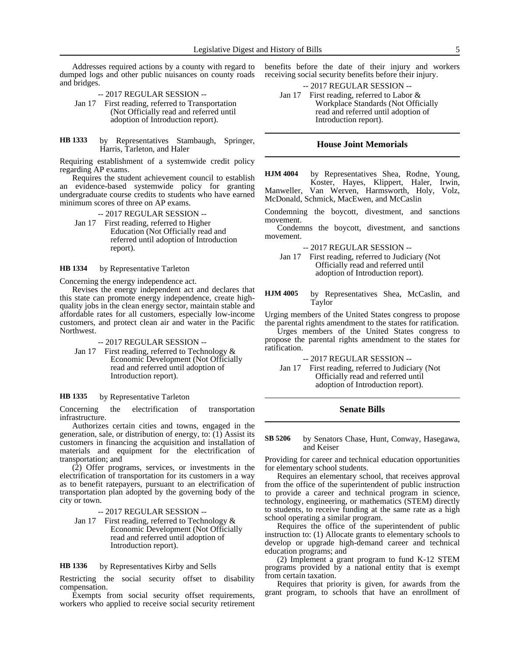Addresses required actions by a county with regard to dumped logs and other public nuisances on county roads and bridges.

- -- 2017 REGULAR SESSION --
- Jan 17 First reading, referred to Transportation (Not Officially read and referred until adoption of Introduction report).
- by Representatives Stambaugh, Springer, Harris, Tarleton, and Haler **HB 1333**

Requiring establishment of a systemwide credit policy regarding AP exams.

Requires the student achievement council to establish an evidence-based systemwide policy for granting undergraduate course credits to students who have earned minimum scores of three on AP exams.

- -- 2017 REGULAR SESSION --
- Jan 17 First reading, referred to Higher Education (Not Officially read and referred until adoption of Introduction report).

by Representative Tarleton **HB 1334**

Concerning the energy independence act.

Revises the energy independent act and declares that this state can promote energy independence, create highquality jobs in the clean energy sector, maintain stable and affordable rates for all customers, especially low-income customers, and protect clean air and water in the Pacific Northwest.

### -- 2017 REGULAR SESSION --

Jan 17 First reading, referred to Technology & Economic Development (Not Officially read and referred until adoption of Introduction report).

#### by Representative Tarleton **HB 1335**

Concerning the electrification of transportation infrastructure.

Authorizes certain cities and towns, engaged in the generation, sale, or distribution of energy, to: (1) Assist its customers in financing the acquisition and installation of materials and equipment for the electrification of transportation; and

(2) Offer programs, services, or investments in the electrification of transportation for its customers in a way as to benefit ratepayers, pursuant to an electrification of transportation plan adopted by the governing body of the city or town.

-- 2017 REGULAR SESSION --

Jan 17 First reading, referred to Technology & Economic Development (Not Officially read and referred until adoption of Introduction report).

#### by Representatives Kirby and Sells **HB 1336**

Restricting the social security offset to disability compensation.

Exempts from social security offset requirements, workers who applied to receive social security retirement benefits before the date of their injury and workers receiving social security benefits before their injury.

-- 2017 REGULAR SESSION --

Jan 17 First reading, referred to Labor & Workplace Standards (Not Officially read and referred until adoption of Introduction report).

### **House Joint Memorials**

by Representatives Shea, Rodne, Young, Koster, Hayes, Klippert, Haler, Irwin, Manweller, Van Werven, Harmsworth, Holy, Volz, McDonald, Schmick, MacEwen, and McCaslin **HJM 4004**

Condemning the boycott, divestment, and sanctions movement.

Condemns the boycott, divestment, and sanctions movement.

-- 2017 REGULAR SESSION --

Jan 17 First reading, referred to Judiciary (Not Officially read and referred until adoption of Introduction report).

by Representatives Shea, McCaslin, and Taylor **HJM 4005**

Urging members of the United States congress to propose the parental rights amendment to the states for ratification.

Urges members of the United States congress to propose the parental rights amendment to the states for ratification.

-- 2017 REGULAR SESSION --

Jan 17 First reading, referred to Judiciary (Not Officially read and referred until adoption of Introduction report).

### **Senate Bills**

by Senators Chase, Hunt, Conway, Hasegawa, and Keiser **SB 5206**

Providing for career and technical education opportunities for elementary school students.

Requires an elementary school, that receives approval from the office of the superintendent of public instruction to provide a career and technical program in science, technology, engineering, or mathematics (STEM) directly to students, to receive funding at the same rate as a high school operating a similar program.

Requires the office of the superintendent of public instruction to: (1) Allocate grants to elementary schools to develop or upgrade high-demand career and technical education programs; and

(2) Implement a grant program to fund K-12 STEM programs provided by a national entity that is exempt from certain taxation.

Requires that priority is given, for awards from the grant program, to schools that have an enrollment of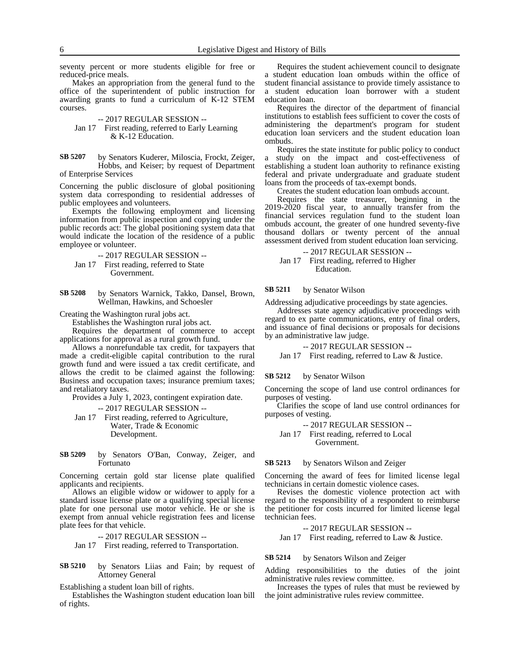seventy percent or more students eligible for free or reduced-price meals.

Makes an appropriation from the general fund to the office of the superintendent of public instruction for awarding grants to fund a curriculum of K-12 STEM courses.

-- 2017 REGULAR SESSION -- Jan 17 First reading, referred to Early Learning & K-12 Education.

by Senators Kuderer, Miloscia, Frockt, Zeiger, Hobbs, and Keiser; by request of Department of Enterprise Services **SB 5207**

Concerning the public disclosure of global positioning system data corresponding to residential addresses of public employees and volunteers.

Exempts the following employment and licensing information from public inspection and copying under the public records act: The global positioning system data that would indicate the location of the residence of a public employee or volunteer.

- -- 2017 REGULAR SESSION --
- Jan 17 First reading, referred to State Government.
- by Senators Warnick, Takko, Dansel, Brown, Wellman, Hawkins, and Schoesler **SB 5208**

Creating the Washington rural jobs act.

Establishes the Washington rural jobs act.

Requires the department of commerce to accept applications for approval as a rural growth fund.

Allows a nonrefundable tax credit, for taxpayers that made a credit-eligible capital contribution to the rural growth fund and were issued a tax credit certificate, and allows the credit to be claimed against the following: Business and occupation taxes; insurance premium taxes; and retaliatory taxes.

Provides a July 1, 2023, contingent expiration date.

-- 2017 REGULAR SESSION --

Jan 17 First reading, referred to Agriculture, Water, Trade & Economic Development.

by Senators O'Ban, Conway, Zeiger, and Fortunato **SB 5209**

Concerning certain gold star license plate qualified applicants and recipients.

Allows an eligible widow or widower to apply for a standard issue license plate or a qualifying special license plate for one personal use motor vehicle. He or she is exempt from annual vehicle registration fees and license plate fees for that vehicle.

-- 2017 REGULAR SESSION -- Jan 17 First reading, referred to Transportation.

by Senators Liias and Fain; by request of Attorney General **SB 5210**

Establishing a student loan bill of rights.

Establishes the Washington student education loan bill of rights.

Requires the student achievement council to designate a student education loan ombuds within the office of student financial assistance to provide timely assistance to a student education loan borrower with a student education loan.

Requires the director of the department of financial institutions to establish fees sufficient to cover the costs of administering the department's program for student education loan servicers and the student education loan ombuds.

Requires the state institute for public policy to conduct a study on the impact and cost-effectiveness of establishing a student loan authority to refinance existing federal and private undergraduate and graduate student loans from the proceeds of tax-exempt bonds.

Creates the student education loan ombuds account.

Requires the state treasurer, beginning in the 2019-2020 fiscal year, to annually transfer from the financial services regulation fund to the student loan ombuds account, the greater of one hundred seventy-five thousand dollars or twenty percent of the annual assessment derived from student education loan servicing.

-- 2017 REGULAR SESSION --

Jan 17 First reading, referred to Higher Education.

#### by Senator Wilson **SB 5211**

Addressing adjudicative proceedings by state agencies.

Addresses state agency adjudicative proceedings with regard to ex parte communications, entry of final orders, and issuance of final decisions or proposals for decisions by an administrative law judge.

-- 2017 REGULAR SESSION --

Jan 17 First reading, referred to Law & Justice.

#### by Senator Wilson **SB 5212**

Concerning the scope of land use control ordinances for purposes of vesting.

Clarifies the scope of land use control ordinances for purposes of vesting.

-- 2017 REGULAR SESSION --

Jan 17 First reading, referred to Local Government.

#### by Senators Wilson and Zeiger **SB 5213**

Concerning the award of fees for limited license legal technicians in certain domestic violence cases.

Revises the domestic violence protection act with regard to the responsibility of a respondent to reimburse the petitioner for costs incurred for limited license legal technician fees.

-- 2017 REGULAR SESSION --

Jan 17 First reading, referred to Law & Justice.

#### by Senators Wilson and Zeiger **SB 5214**

Adding responsibilities to the duties of the joint administrative rules review committee.

Increases the types of rules that must be reviewed by the joint administrative rules review committee.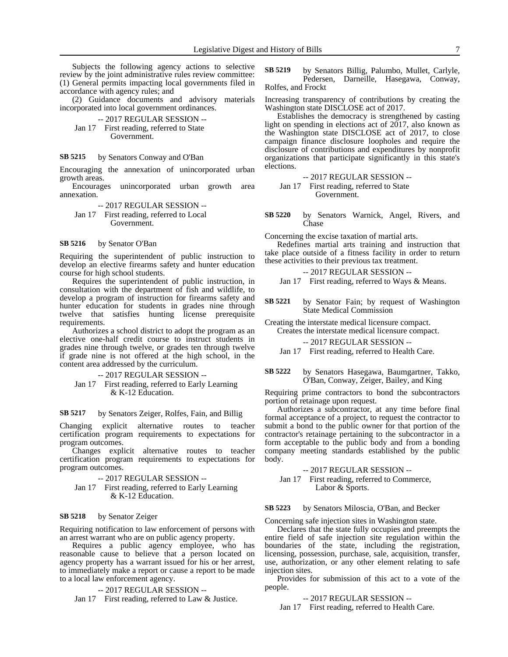Subjects the following agency actions to selective review by the joint administrative rules review committee: (1) General permits impacting local governments filed in accordance with agency rules; and

(2) Guidance documents and advisory materials incorporated into local government ordinances.

-- 2017 REGULAR SESSION -- Jan 17 First reading, referred to State Government.

#### by Senators Conway and O'Ban **SB 5215**

Encouraging the annexation of unincorporated urban growth areas.

Encourages unincorporated urban growth area annexation.

-- 2017 REGULAR SESSION -- Jan 17 First reading, referred to Local Government.

#### by Senator O'Ban **SB 5216**

Requiring the superintendent of public instruction to develop an elective firearms safety and hunter education course for high school students.

Requires the superintendent of public instruction, in consultation with the department of fish and wildlife, to develop a program of instruction for firearms safety and hunter education for students in grades nine through twelve that satisfies hunting license prerequisite requirements.

Authorizes a school district to adopt the program as an elective one-half credit course to instruct students in grades nine through twelve, or grades ten through twelve if grade nine is not offered at the high school, in the content area addressed by the curriculum.

-- 2017 REGULAR SESSION -- Jan 17 First reading, referred to Early Learning & K-12 Education.

#### by Senators Zeiger, Rolfes, Fain, and Billig **SB 5217**

Changing explicit alternative routes to teacher certification program requirements to expectations for program outcomes.

Changes explicit alternative routes to teacher certification program requirements to expectations for program outcomes.

-- 2017 REGULAR SESSION --

Jan 17 First reading, referred to Early Learning & K-12 Education.

#### by Senator Zeiger **SB 5218**

Requiring notification to law enforcement of persons with an arrest warrant who are on public agency property.

Requires a public agency employee, who has reasonable cause to believe that a person located on agency property has a warrant issued for his or her arrest, to immediately make a report or cause a report to be made to a local law enforcement agency.

-- 2017 REGULAR SESSION --

Jan 17 First reading, referred to Law & Justice.

by Senators Billig, Palumbo, Mullet, Carlyle, Pedersen, Darneille, Hasegawa, Conway, Rolfes, and Frockt **SB 5219**

Increasing transparency of contributions by creating the Washington state DISCLOSE act of 2017.

Establishes the democracy is strengthened by casting light on spending in elections act of 2017, also known as the Washington state DISCLOSE act of 2017, to close campaign finance disclosure loopholes and require the disclosure of contributions and expenditures by nonprofit organizations that participate significantly in this state's elections.

-- 2017 REGULAR SESSION --

Jan 17 First reading, referred to State Government.

by Senators Warnick, Angel, Rivers, and Chase **SB 5220**

Concerning the excise taxation of martial arts.

Redefines martial arts training and instruction that take place outside of a fitness facility in order to return these activities to their previous tax treatment.

-- 2017 REGULAR SESSION -- Jan 17 First reading, referred to Ways & Means.

by Senator Fain; by request of Washington State Medical Commission **SB 5221**

Creating the interstate medical licensure compact. Creates the interstate medical licensure compact.

-- 2017 REGULAR SESSION --

Jan 17 First reading, referred to Health Care.

by Senators Hasegawa, Baumgartner, Takko, O'Ban, Conway, Zeiger, Bailey, and King **SB 5222**

Requiring prime contractors to bond the subcontractors portion of retainage upon request.

Authorizes a subcontractor, at any time before final formal acceptance of a project, to request the contractor to submit a bond to the public owner for that portion of the contractor's retainage pertaining to the subcontractor in a form acceptable to the public body and from a bonding company meeting standards established by the public body.

-- 2017 REGULAR SESSION --

Jan 17 First reading, referred to Commerce, Labor & Sports.

by Senators Miloscia, O'Ban, and Becker **SB 5223**

Concerning safe injection sites in Washington state.

Declares that the state fully occupies and preempts the entire field of safe injection site regulation within the boundaries of the state, including the registration, licensing, possession, purchase, sale, acquisition, transfer, use, authorization, or any other element relating to safe injection sites.

Provides for submission of this act to a vote of the people.

-- 2017 REGULAR SESSION --

Jan 17 First reading, referred to Health Care.